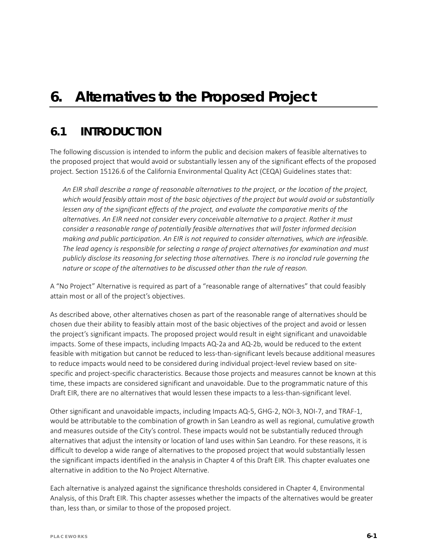# *6. Alternatives to the Proposed Project*

## **6.1 INTRODUCTION**

The following discussion is intended to inform the public and decision makers of feasible alternatives to the proposed project that would avoid or substantially lessen any of the significant effects of the proposed project. Section 15126.6 of the California Environmental Quality Act (CEQA) Guidelines states that:

*An EIR shall describe a range of reasonable alternatives to the project, or the location of the project, which would feasibly attain most of the basic objectives of the project but would avoid or substantially*  lessen any of the significant effects of the project, and evaluate the comparative merits of the *alternatives. An EIR need not consider every conceivable alternative to a project. Rather it must consider a reasonable range of potentially feasible alternatives that will foster informed decision making and public participation. An EIR is not required to consider alternatives, which are infeasible. The lead agency is responsible for selecting a range of project alternatives for examination and must publicly disclose its reasoning for selecting those alternatives. There is no ironclad rule governing the nature or scope of the alternatives to be discussed other than the rule of reason.*

A "No Project" Alternative is required as part of a "reasonable range of alternatives" that could feasibly attain most or all of the project's objectives.

As described above, other alternatives chosen as part of the reasonable range of alternatives should be chosen due their ability to feasibly attain most of the basic objectives of the project and avoid or lessen the project's significant impacts. The proposed project would result in eight significant and unavoidable impacts. Some of these impacts, including Impacts AQ-2a and AQ-2b, would be reduced to the extent feasible with mitigation but cannot be reduced to less-than-significant levels because additional measures to reduce impacts would need to be considered during individual project-level review based on sitespecific and project-specific characteristics. Because those projects and measures cannot be known at this time, these impacts are considered significant and unavoidable. Due to the programmatic nature of this Draft EIR, there are no alternatives that would lessen these impacts to a less-than-significant level.

Other significant and unavoidable impacts, including Impacts AQ-5, GHG-2, NOI-3, NOI-7, and TRAF-1, would be attributable to the combination of growth in San Leandro as well as regional, cumulative growth and measures outside of the City's control. These impacts would not be substantially reduced through alternatives that adjust the intensity or location of land uses within San Leandro. For these reasons, it is difficult to develop a wide range of alternatives to the proposed project that would substantially lessen the significant impacts identified in the analysis in Chapter 4 of this Draft EIR. This chapter evaluates one alternative in addition to the No Project Alternative.

Each alternative is analyzed against the significance thresholds considered in Chapter 4, Environmental Analysis, of this Draft EIR. This chapter assesses whether the impacts of the alternatives would be greater than, less than, or similar to those of the proposed project.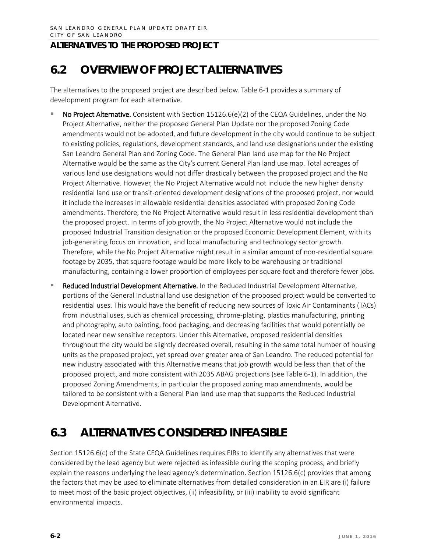# **6.2 OVERVIEW OF PROJECT ALTERNATIVES**

The alternatives to the proposed project are described below. Table 6-1 provides a summary of development program for each alternative.

- No Project Alternative. Consistent with Section 15126.6(e)(2) of the CEQA Guidelines, under the No Project Alternative, neither the proposed General Plan Update nor the proposed Zoning Code amendments would not be adopted, and future development in the city would continue to be subject to existing policies, regulations, development standards, and land use designations under the existing San Leandro General Plan and Zoning Code. The General Plan land use map for the No Project Alternative would be the same as the City's current General Plan land use map. Total acreages of various land use designations would not differ drastically between the proposed project and the No Project Alternative. However, the No Project Alternative would not include the new higher density residential land use or transit-oriented development designations of the proposed project, nor would it include the increases in allowable residential densities associated with proposed Zoning Code amendments. Therefore, the No Project Alternative would result in less residential development than the proposed project. In terms of job growth, the No Project Alternative would not include the proposed Industrial Transition designation or the proposed Economic Development Element, with its job-generating focus on innovation, and local manufacturing and technology sector growth. Therefore, while the No Project Alternative might result in a similar amount of non-residential square footage by 2035, that square footage would be more likely to be warehousing or traditional manufacturing, containing a lower proportion of employees per square foot and therefore fewer jobs.
- Reduced Industrial Development Alternative. In the Reduced Industrial Development Alternative, portions of the General Industrial land use designation of the proposed project would be converted to residential uses. This would have the benefit of reducing new sources of Toxic Air Contaminants (TACs) from industrial uses, such as chemical processing, chrome-plating, plastics manufacturing, printing and photography, auto painting, food packaging, and decreasing facilities that would potentially be located near new sensitive receptors. Under this Alternative, proposed residential densities throughout the city would be slightly decreased overall, resulting in the same total number of housing units as the proposed project, yet spread over greater area of San Leandro. The reduced potential for new industry associated with this Alternative means that job growth would be less than that of the proposed project, and more consistent with 2035 ABAG projections (see Table 6-1). In addition, the proposed Zoning Amendments, in particular the proposed zoning map amendments, would be tailored to be consistent with a General Plan land use map that supports the Reduced Industrial Development Alternative.

## **6.3 ALTERNATIVES CONSIDERED INFEASIBLE**

Section 15126.6(c) of the State CEQA Guidelines requires EIRs to identify any alternatives that were considered by the lead agency but were rejected as infeasible during the scoping process, and briefly explain the reasons underlying the lead agency's determination. Section 15126.6(c) provides that among the factors that may be used to eliminate alternatives from detailed consideration in an EIR are (i) failure to meet most of the basic project objectives, (ii) infeasibility, or (iii) inability to avoid significant environmental impacts.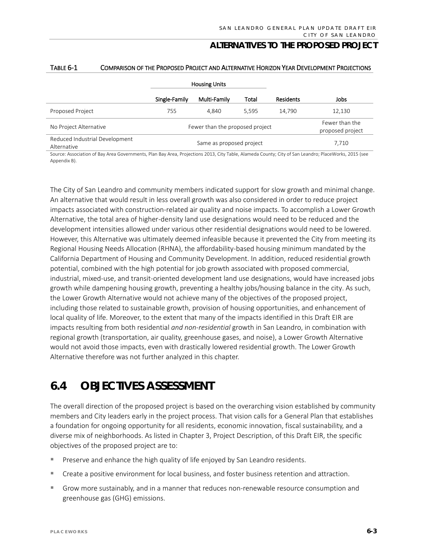|                                               | <b>Housing Units</b>            |                          |       |                                    |        |
|-----------------------------------------------|---------------------------------|--------------------------|-------|------------------------------------|--------|
|                                               | Single-Family                   | Multi-Family             | Total | Residents                          | Jobs   |
| Proposed Project                              | 755                             | 4.840                    | 5.595 | 14.790                             | 12,130 |
| No Project Alternative                        | Fewer than the proposed project |                          |       | Fewer than the<br>proposed project |        |
| Reduced Industrial Development<br>Alternative |                                 | Same as proposed project |       |                                    | 7,710  |

#### TABLE 6-1 COMPARISON OF THE PROPOSED PROJECT AND ALTERNATIVE HORIZON YEAR DEVELOPMENT PROJECTIONS

Source: Association of Bay Area Governments, Plan Bay Area, Projections 2013, City Table, Alameda County; City of San Leandro; PlaceWorks, 2015 (see Appendix B).

The City of San Leandro and community members indicated support for slow growth and minimal change. An alternative that would result in less overall growth was also considered in order to reduce project impacts associated with construction-related air quality and noise impacts. To accomplish a Lower Growth Alternative, the total area of higher-density land use designations would need to be reduced and the development intensities allowed under various other residential designations would need to be lowered. However, this Alternative was ultimately deemed infeasible because it prevented the City from meeting its Regional Housing Needs Allocation (RHNA), the affordability-based housing minimum mandated by the California Department of Housing and Community Development. In addition, reduced residential growth potential, combined with the high potential for job growth associated with proposed commercial, industrial, mixed-use, and transit-oriented development land use designations, would have increased jobs growth while dampening housing growth, preventing a healthy jobs/housing balance in the city. As such, the Lower Growth Alternative would not achieve many of the objectives of the proposed project, including those related to sustainable growth, provision of housing opportunities, and enhancement of local quality of life. Moreover, to the extent that many of the impacts identified in this Draft EIR are impacts resulting from both residential *and non-residential* growth in San Leandro, in combination with regional growth (transportation, air quality, greenhouse gases, and noise), a Lower Growth Alternative would not avoid those impacts, even with drastically lowered residential growth. The Lower Growth Alternative therefore was not further analyzed in this chapter.

## **6.4 OBJECTIVES ASSESSMENT**

The overall direction of the proposed project is based on the overarching vision established by community members and City leaders early in the project process. That vision calls for a General Plan that establishes a foundation for ongoing opportunity for all residents, economic innovation, fiscal sustainability, and a diverse mix of neighborhoods. As listed in Chapter 3, Project Description, of this Draft EIR, the specific objectives of the proposed project are to:

- Preserve and enhance the high quality of life enjoyed by San Leandro residents.
- Create a positive environment for local business, and foster business retention and attraction.
- Grow more sustainably, and in a manner that reduces non-renewable resource consumption and greenhouse gas (GHG) emissions.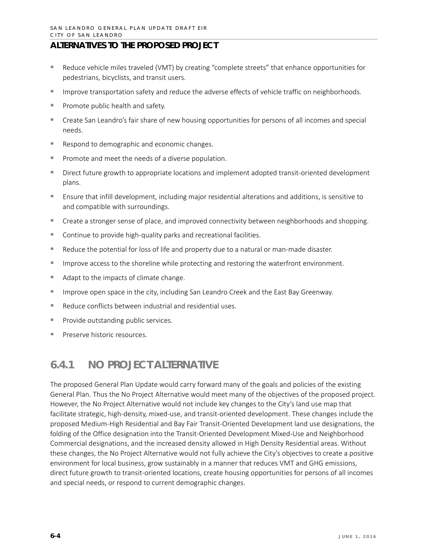- Reduce vehicle miles traveled (VMT) by creating "complete streets" that enhance opportunities for pedestrians, bicyclists, and transit users.
- **IMPROVE THE IMPROVE STATE IS SET UP:** Improve transportation safety and reduce the adverse incorporation of supportionals.
- $\blacksquare$  Promote public health and safety.
- Create San Leandro's fair share of new housing opportunities for persons of all incomes and special needs.
- Respond to demographic and economic changes.
- Promote and meet the needs of a diverse population.
- **Direct future growth to appropriate locations and implement adopted transit-oriented development** plans.
- Ensure that infill development, including major residential alterations and additions, is sensitive to and compatible with surroundings.
- Create a stronger sense of place, and improved connectivity between neighborhoods and shopping.
- Continue to provide high-quality parks and recreational facilities.
- **EXECUTE:** Reduce the potential for loss of life and property due to a natural or man-made disaster.
- **IMPROVE ACCESS TO the shoreline while protecting and restoring the waterfront environment.**
- Adapt to the impacts of climate change.
- **IMPROVE OPEN SPACE IS THE CITY, Including San Leandro Creek and the East Bay Greenway.**
- Reduce conflicts between industrial and residential uses.
- Provide outstanding public services.
- **Preserve historic resources.**

## **6.4.1 NO PROJECT ALTERNATIVE**

The proposed General Plan Update would carry forward many of the goals and policies of the existing General Plan. Thus the No Project Alternative would meet many of the objectives of the proposed project. However, the No Project Alternative would not include key changes to the City's land use map that facilitate strategic, high-density, mixed-use, and transit-oriented development. These changes include the proposed Medium-High Residential and Bay Fair Transit-Oriented Development land use designations, the folding of the Office designation into the Transit-Oriented Development Mixed-Use and Neighborhood Commercial designations, and the increased density allowed in High Density Residential areas. Without these changes, the No Project Alternative would not fully achieve the City's objectives to create a positive environment for local business, grow sustainably in a manner that reduces VMT and GHG emissions, direct future growth to transit-oriented locations, create housing opportunities for persons of all incomes and special needs, or respond to current demographic changes.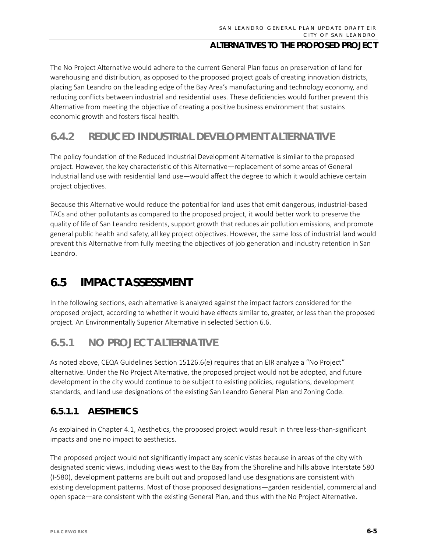The No Project Alternative would adhere to the current General Plan focus on preservation of land for warehousing and distribution, as opposed to the proposed project goals of creating innovation districts, placing San Leandro on the leading edge of the Bay Area's manufacturing and technology economy, and reducing conflicts between industrial and residential uses. These deficiencies would further prevent this Alternative from meeting the objective of creating a positive business environment that sustains economic growth and fosters fiscal health.

## **6.4.2 REDUCED INDUSTRIAL DEVELOPMENT ALTERNATIVE**

The policy foundation of the Reduced Industrial Development Alternative is similar to the proposed project. However, the key characteristic of this Alternative—replacement of some areas of General Industrial land use with residential land use—would affect the degree to which it would achieve certain project objectives.

Because this Alternative would reduce the potential for land uses that emit dangerous, industrial-based TACs and other pollutants as compared to the proposed project, it would better work to preserve the quality of life of San Leandro residents, support growth that reduces air pollution emissions, and promote general public health and safety, all key project objectives. However, the same loss of industrial land would prevent this Alternative from fully meeting the objectives of job generation and industry retention in San Leandro.

## **6.5 IMPACT ASSESSMENT**

In the following sections, each alternative is analyzed against the impact factors considered for the proposed project, according to whether it would have effects similar to, greater, or less than the proposed project. An Environmentally Superior Alternative in selected Section 6.6.

## **6.5.1 NO PROJECT ALTERNATIVE**

As noted above, CEQA Guidelines Section 15126.6(e) requires that an EIR analyze a "No Project" alternative. Under the No Project Alternative, the proposed project would not be adopted, and future development in the city would continue to be subject to existing policies, regulations, development standards, and land use designations of the existing San Leandro General Plan and Zoning Code.

## **6.5.1.1 AESTHETICS**

As explained in Chapter 4.1, Aesthetics, the proposed project would result in three less-than-significant impacts and one no impact to aesthetics.

The proposed project would not significantly impact any scenic vistas because in areas of the city with designated scenic views, including views west to the Bay from the Shoreline and hills above Interstate 580 (I-580), development patterns are built out and proposed land use designations are consistent with existing development patterns. Most of those proposed designations—garden residential, commercial and open space—are consistent with the existing General Plan, and thus with the No Project Alternative.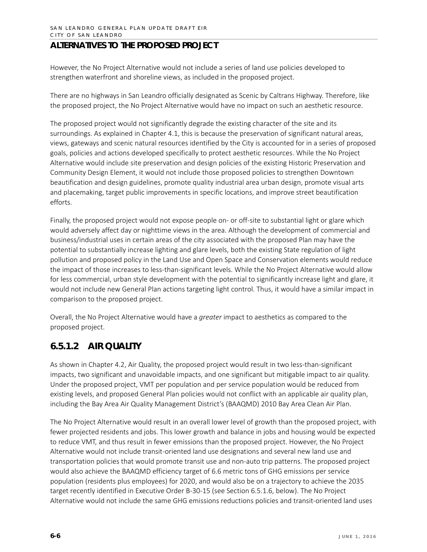However, the No Project Alternative would not include a series of land use policies developed to strengthen waterfront and shoreline views, as included in the proposed project.

There are no highways in San Leandro officially designated as Scenic by Caltrans Highway. Therefore, like the proposed project, the No Project Alternative would have no impact on such an aesthetic resource.

The proposed project would not significantly degrade the existing character of the site and its surroundings. As explained in Chapter 4.1, this is because the preservation of significant natural areas, views, gateways and scenic natural resources identified by the City is accounted for in a series of proposed goals, policies and actions developed specifically to protect aesthetic resources. While the No Project Alternative would include site preservation and design policies of the existing Historic Preservation and Community Design Element, it would not include those proposed policies to strengthen Downtown beautification and design guidelines, promote quality industrial area urban design, promote visual arts and placemaking, target public improvements in specific locations, and improve street beautification efforts.

Finally, the proposed project would not expose people on- or off-site to substantial light or glare which would adversely affect day or nighttime views in the area. Although the development of commercial and business/industrial uses in certain areas of the city associated with the proposed Plan may have the potential to substantially increase lighting and glare levels, both the existing State regulation of light pollution and proposed policy in the Land Use and Open Space and Conservation elements would reduce the impact of those increases to less-than-significant levels. While the No Project Alternative would allow for less commercial, urban style development with the potential to significantly increase light and glare, it would not include new General Plan actions targeting light control. Thus, it would have a similar impact in comparison to the proposed project.

Overall, the No Project Alternative would have a *greater* impact to aesthetics as compared to the proposed project.

## **6.5.1.2 AIR QUALITY**

As shown in Chapter 4.2, Air Quality, the proposed project would result in two less-than-significant impacts, two significant and unavoidable impacts, and one significant but mitigable impact to air quality. Under the proposed project, VMT per population and per service population would be reduced from existing levels, and proposed General Plan policies would not conflict with an applicable air quality plan, including the Bay Area Air Quality Management District's (BAAQMD) 2010 Bay Area Clean Air Plan.

The No Project Alternative would result in an overall lower level of growth than the proposed project, with fewer projected residents and jobs. This lower growth and balance in jobs and housing would be expected to reduce VMT, and thus result in fewer emissions than the proposed project. However, the No Project Alternative would not include transit-oriented land use designations and several new land use and transportation policies that would promote transit use and non-auto trip patterns. The proposed project would also achieve the BAAQMD efficiency target of 6.6 metric tons of GHG emissions per service population (residents plus employees) for 2020, and would also be on a trajectory to achieve the 2035 target recently identified in Executive Order B-30-15 (see Section 6.5.1.6, below). The No Project Alternative would not include the same GHG emissions reductions policies and transit-oriented land uses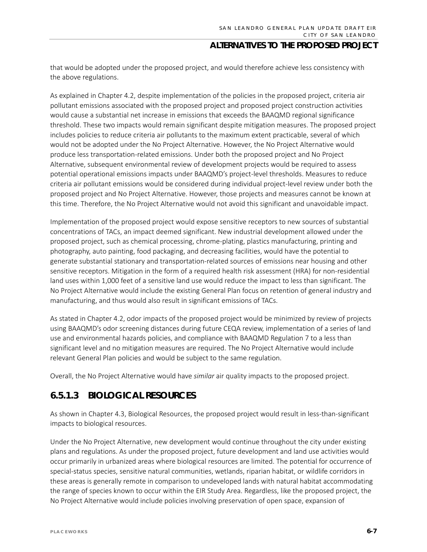that would be adopted under the proposed project, and would therefore achieve less consistency with the above regulations.

As explained in Chapter 4.2, despite implementation of the policies in the proposed project, criteria air pollutant emissions associated with the proposed project and proposed project construction activities would cause a substantial net increase in emissions that exceeds the BAAQMD regional significance threshold. These two impacts would remain significant despite mitigation measures. The proposed project includes policies to reduce criteria air pollutants to the maximum extent practicable, several of which would not be adopted under the No Project Alternative. However, the No Project Alternative would produce less transportation-related emissions. Under both the proposed project and No Project Alternative, subsequent environmental review of development projects would be required to assess potential operational emissions impacts under BAAQMD's project-level thresholds. Measures to reduce criteria air pollutant emissions would be considered during individual project-level review under both the proposed project and No Project Alternative. However, those projects and measures cannot be known at this time. Therefore, the No Project Alternative would not avoid this significant and unavoidable impact.

Implementation of the proposed project would expose sensitive receptors to new sources of substantial concentrations of TACs, an impact deemed significant. New industrial development allowed under the proposed project, such as chemical processing, chrome-plating, plastics manufacturing, printing and photography, auto painting, food packaging, and decreasing facilities, would have the potential to generate substantial stationary and transportation-related sources of emissions near housing and other sensitive receptors. Mitigation in the form of a required health risk assessment (HRA) for non-residential land uses within 1,000 feet of a sensitive land use would reduce the impact to less than significant. The No Project Alternative would include the existing General Plan focus on retention of general industry and manufacturing, and thus would also result in significant emissions of TACs.

As stated in Chapter 4.2, odor impacts of the proposed project would be minimized by review of projects using BAAQMD's odor screening distances during future CEQA review, implementation of a series of land use and environmental hazards policies, and compliance with BAAQMD Regulation 7 to a less than significant level and no mitigation measures are required. The No Project Alternative would include relevant General Plan policies and would be subject to the same regulation.

Overall, the No Project Alternative would have *similar* air quality impacts to the proposed project.

## **6.5.1.3 BIOLOGICAL RESOURCES**

As shown in Chapter 4.3, Biological Resources, the proposed project would result in less-than-significant impacts to biological resources.

Under the No Project Alternative, new development would continue throughout the city under existing plans and regulations. As under the proposed project, future development and land use activities would occur primarily in urbanized areas where biological resources are limited. The potential for occurrence of special-status species, sensitive natural communities, wetlands, riparian habitat, or wildlife corridors in these areas is generally remote in comparison to undeveloped lands with natural habitat accommodating the range of species known to occur within the EIR Study Area. Regardless, like the proposed project, the No Project Alternative would include policies involving preservation of open space, expansion of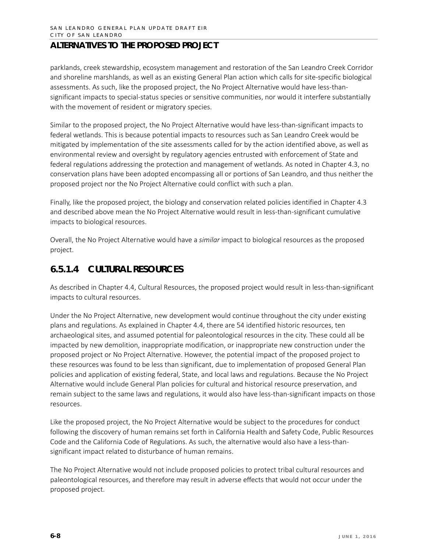parklands, creek stewardship, ecosystem management and restoration of the San Leandro Creek Corridor and shoreline marshlands, as well as an existing General Plan action which calls for site-specific biological assessments. As such, like the proposed project, the No Project Alternative would have less-thansignificant impacts to special-status species or sensitive communities, nor would it interfere substantially with the movement of resident or migratory species.

Similar to the proposed project, the No Project Alternative would have less-than-significant impacts to federal wetlands. This is because potential impacts to resources such as San Leandro Creek would be mitigated by implementation of the site assessments called for by the action identified above, as well as environmental review and oversight by regulatory agencies entrusted with enforcement of State and federal regulations addressing the protection and management of wetlands. As noted in Chapter 4.3, no conservation plans have been adopted encompassing all or portions of San Leandro, and thus neither the proposed project nor the No Project Alternative could conflict with such a plan.

Finally, like the proposed project, the biology and conservation related policies identified in Chapter 4.3 and described above mean the No Project Alternative would result in less-than-significant cumulative impacts to biological resources.

Overall, the No Project Alternative would have a *similar* impact to biological resources as the proposed project.

## **6.5.1.4 CULTURAL RESOURCES**

As described in Chapter 4.4, Cultural Resources, the proposed project would result in less-than-significant impacts to cultural resources.

Under the No Project Alternative, new development would continue throughout the city under existing plans and regulations. As explained in Chapter 4.4, there are 54 identified historic resources, ten archaeological sites, and assumed potential for paleontological resources in the city. These could all be impacted by new demolition, inappropriate modification, or inappropriate new construction under the proposed project or No Project Alternative. However, the potential impact of the proposed project to these resources was found to be less than significant, due to implementation of proposed General Plan policies and application of existing federal, State, and local laws and regulations. Because the No Project Alternative would include General Plan policies for cultural and historical resource preservation, and remain subject to the same laws and regulations, it would also have less-than-significant impacts on those resources.

Like the proposed project, the No Project Alternative would be subject to the procedures for conduct following the discovery of human remains set forth in California Health and Safety Code, Public Resources Code and the California Code of Regulations. As such, the alternative would also have a less-thansignificant impact related to disturbance of human remains.

The No Project Alternative would not include proposed policies to protect tribal cultural resources and paleontological resources, and therefore may result in adverse effects that would not occur under the proposed project.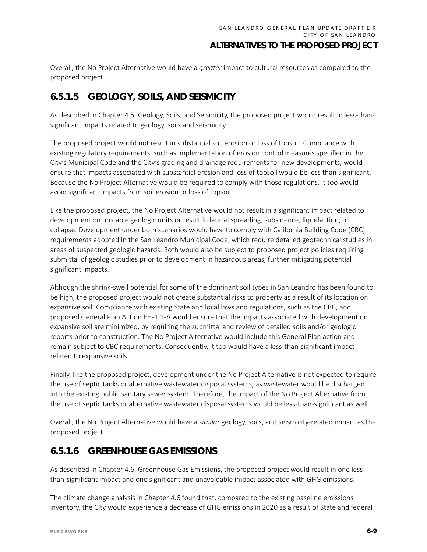Overall, the No Project Alternative would have a *greater* impact to cultural resources as compared to the proposed project.

## **6.5.1.5 GEOLOGY, SOILS, AND SEISMICITY**

As described in Chapter 4.5, Geology, Soils, and Seismicity, the proposed project would result in less-thansignificant impacts related to geology, soils and seismicity.

The proposed project would not result in substantial soil erosion or loss of topsoil. Compliance with existing regulatory requirements, such as implementation of erosion control measures specified in the City's Municipal Code and the City's grading and drainage requirements for new developments, would ensure that impacts associated with substantial erosion and loss of topsoil would be less than significant. Because the No Project Alternative would be required to comply with those regulations, it too would avoid significant impacts from soil erosion or loss of topsoil.

Like the proposed project, the No Project Alternative would not result in a significant impact related to development on unstable geologic units or result in lateral spreading, subsidence, liquefaction, or collapse. Development under both scenarios would have to comply with California Building Code (CBC) requirements adopted in the San Leandro Municipal Code, which require detailed geotechnical studies in areas of suspected geologic hazards. Both would also be subject to proposed project policies requiring submittal of geologic studies prior to development in hazardous areas, further mitigating potential significant impacts.

Although the shrink-swell potential for some of the dominant soil types in San Leandro has been found to be high, the proposed project would not create substantial risks to property as a result of its location on expansive soil. Compliance with existing State and local laws and regulations, such as the CBC, and proposed General Plan Action EH-1.1-A would ensure that the impacts associated with development on expansive soil are minimized, by requiring the submittal and review of detailed soils and/or geologic reports prior to construction. The No Project Alternative would include this General Plan action and remain subject to CBC requirements. Consequently, it too would have a less-than-significant impact related to expansive soils.

Finally, like the proposed project, development under the No Project Alternative is not expected to require the use of septic tanks or alternative wastewater disposal systems, as wastewater would be discharged into the existing public sanitary sewer system. Therefore, the impact of the No Project Alternative from the use of septic tanks or alternative wastewater disposal systems would be less-than-significant as well.

Overall, the No Project Alternative would have a *similar* geology, soils, and seismicity-related impact as the proposed project.

## **6.5.1.6 GREENHOUSE GAS EMISSIONS**

As described in Chapter 4.6, Greenhouse Gas Emissions, the proposed project would result in one lessthan-significant impact and one significant and unavoidable impact associated with GHG emissions.

The climate change analysis in Chapter 4.6 found that, compared to the existing baseline emissions inventory, the City would experience a decrease of GHG emissions in 2020 as a result of State and federal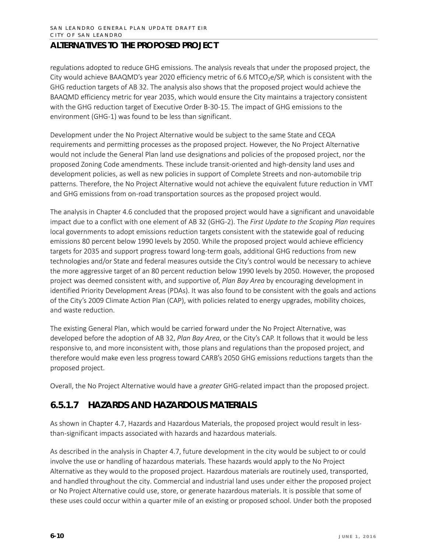regulations adopted to reduce GHG emissions. The analysis reveals that under the proposed project, the City would achieve BAAQMD's year 2020 efficiency metric of 6.6 MTCO<sub>2</sub>e/SP, which is consistent with the GHG reduction targets of AB 32. The analysis also shows that the proposed project would achieve the BAAQMD efficiency metric for year 2035, which would ensure the City maintains a trajectory consistent with the GHG reduction target of Executive Order B-30-15. The impact of GHG emissions to the environment (GHG-1) was found to be less than significant.

Development under the No Project Alternative would be subject to the same State and CEQA requirements and permitting processes as the proposed project. However, the No Project Alternative would not include the General Plan land use designations and policies of the proposed project, nor the proposed Zoning Code amendments. These include transit-oriented and high-density land uses and development policies, as well as new policies in support of Complete Streets and non-automobile trip patterns. Therefore, the No Project Alternative would not achieve the equivalent future reduction in VMT and GHG emissions from on-road transportation sources as the proposed project would.

The analysis in Chapter 4.6 concluded that the proposed project would have a significant and unavoidable impact due to a conflict with one element of AB 32 (GHG-2). The *First Update to the Scoping Plan* requires local governments to adopt emissions reduction targets consistent with the statewide goal of reducing emissions 80 percent below 1990 levels by 2050. While the proposed project would achieve efficiency targets for 2035 and support progress toward long-term goals, additional GHG reductions from new technologies and/or State and federal measures outside the City's control would be necessary to achieve the more aggressive target of an 80 percent reduction below 1990 levels by 2050. However, the proposed project was deemed consistent with, and supportive of, *Plan Bay Area* by encouraging development in identified Priority Development Areas (PDAs). It was also found to be consistent with the goals and actions of the City's 2009 Climate Action Plan (CAP), with policies related to energy upgrades, mobility choices, and waste reduction.

The existing General Plan, which would be carried forward under the No Project Alternative, was developed before the adoption of AB 32, *Plan Bay Area*, or the City's CAP. It follows that it would be less responsive to, and more inconsistent with, those plans and regulations than the proposed project, and therefore would make even less progress toward CARB's 2050 GHG emissions reductions targets than the proposed project.

Overall, the No Project Alternative would have a *greater* GHG-related impact than the proposed project.

## **6.5.1.7 HAZARDS AND HAZARDOUS MATERIALS**

As shown in Chapter 4.7, Hazards and Hazardous Materials, the proposed project would result in lessthan-significant impacts associated with hazards and hazardous materials.

As described in the analysis in Chapter 4.7, future development in the city would be subject to or could involve the use or handling of hazardous materials. These hazards would apply to the No Project Alternative as they would to the proposed project. Hazardous materials are routinely used, transported, and handled throughout the city. Commercial and industrial land uses under either the proposed project or No Project Alternative could use, store, or generate hazardous materials. It is possible that some of these uses could occur within a quarter mile of an existing or proposed school. Under both the proposed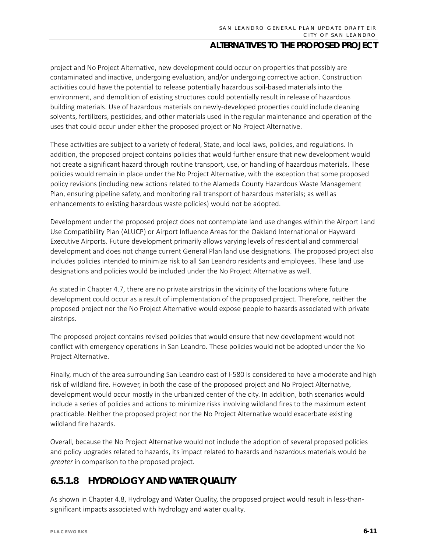project and No Project Alternative, new development could occur on properties that possibly are contaminated and inactive, undergoing evaluation, and/or undergoing corrective action. Construction activities could have the potential to release potentially hazardous soil-based materials into the environment, and demolition of existing structures could potentially result in release of hazardous building materials. Use of hazardous materials on newly-developed properties could include cleaning solvents, fertilizers, pesticides, and other materials used in the regular maintenance and operation of the uses that could occur under either the proposed project or No Project Alternative.

These activities are subject to a variety of federal, State, and local laws, policies, and regulations. In addition, the proposed project contains policies that would further ensure that new development would not create a significant hazard through routine transport, use, or handling of hazardous materials. These policies would remain in place under the No Project Alternative, with the exception that some proposed policy revisions (including new actions related to the Alameda County Hazardous Waste Management Plan, ensuring pipeline safety, and monitoring rail transport of hazardous materials; as well as enhancements to existing hazardous waste policies) would not be adopted.

Development under the proposed project does not contemplate land use changes within the Airport Land Use Compatibility Plan (ALUCP) or Airport Influence Areas for the Oakland International or Hayward Executive Airports. Future development primarily allows varying levels of residential and commercial development and does not change current General Plan land use designations. The proposed project also includes policies intended to minimize risk to all San Leandro residents and employees. These land use designations and policies would be included under the No Project Alternative as well.

As stated in Chapter 4.7, there are no private airstrips in the vicinity of the locations where future development could occur as a result of implementation of the proposed project. Therefore, neither the proposed project nor the No Project Alternative would expose people to hazards associated with private airstrips.

The proposed project contains revised policies that would ensure that new development would not conflict with emergency operations in San Leandro. These policies would not be adopted under the No Project Alternative.

Finally, much of the area surrounding San Leandro east of I-580 is considered to have a moderate and high risk of wildland fire. However, in both the case of the proposed project and No Project Alternative, development would occur mostly in the urbanized center of the city. In addition, both scenarios would include a series of policies and actions to minimize risks involving wildland fires to the maximum extent practicable. Neither the proposed project nor the No Project Alternative would exacerbate existing wildland fire hazards.

Overall, because the No Project Alternative would not include the adoption of several proposed policies and policy upgrades related to hazards, its impact related to hazards and hazardous materials would be *greater* in comparison to the proposed project.

## **6.5.1.8 HYDROLOGY AND WATER QUALITY**

As shown in Chapter 4.8, Hydrology and Water Quality, the proposed project would result in less-thansignificant impacts associated with hydrology and water quality.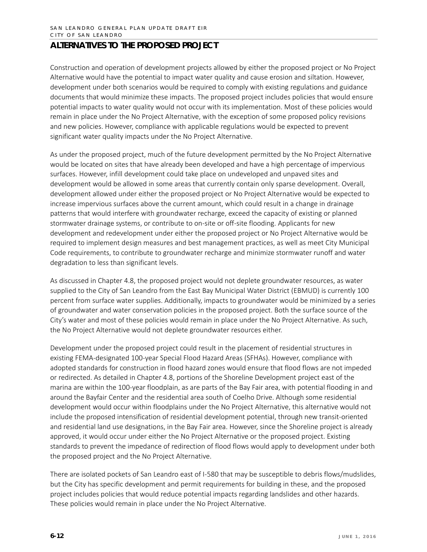Construction and operation of development projects allowed by either the proposed project or No Project Alternative would have the potential to impact water quality and cause erosion and siltation. However, development under both scenarios would be required to comply with existing regulations and guidance documents that would minimize these impacts. The proposed project includes policies that would ensure potential impacts to water quality would not occur with its implementation. Most of these policies would remain in place under the No Project Alternative, with the exception of some proposed policy revisions and new policies. However, compliance with applicable regulations would be expected to prevent significant water quality impacts under the No Project Alternative.

As under the proposed project, much of the future development permitted by the No Project Alternative would be located on sites that have already been developed and have a high percentage of impervious surfaces. However, infill development could take place on undeveloped and unpaved sites and development would be allowed in some areas that currently contain only sparse development. Overall, development allowed under either the proposed project or No Project Alternative would be expected to increase impervious surfaces above the current amount, which could result in a change in drainage patterns that would interfere with groundwater recharge, exceed the capacity of existing or planned stormwater drainage systems, or contribute to on-site or off-site flooding. Applicants for new development and redevelopment under either the proposed project or No Project Alternative would be required to implement design measures and best management practices, as well as meet City Municipal Code requirements, to contribute to groundwater recharge and minimize stormwater runoff and water degradation to less than significant levels.

As discussed in Chapter 4.8, the proposed project would not deplete groundwater resources, as water supplied to the City of San Leandro from the East Bay Municipal Water District (EBMUD) is currently 100 percent from surface water supplies. Additionally, impacts to groundwater would be minimized by a series of groundwater and water conservation policies in the proposed project. Both the surface source of the City's water and most of these policies would remain in place under the No Project Alternative. As such, the No Project Alternative would not deplete groundwater resources either.

Development under the proposed project could result in the placement of residential structures in existing FEMA-designated 100-year Special Flood Hazard Areas (SFHAs). However, compliance with adopted standards for construction in flood hazard zones would ensure that flood flows are not impeded or redirected. As detailed in Chapter 4.8, portions of the Shoreline Development project east of the marina are within the 100-year floodplain, as are parts of the Bay Fair area, with potential flooding in and around the Bayfair Center and the residential area south of Coelho Drive. Although some residential development would occur within floodplains under the No Project Alternative, this alternative would not include the proposed intensification of residential development potential, through new transit-oriented and residential land use designations, in the Bay Fair area. However, since the Shoreline project is already approved, it would occur under either the No Project Alternative or the proposed project. Existing standards to prevent the impedance of redirection of flood flows would apply to development under both the proposed project and the No Project Alternative.

There are isolated pockets of San Leandro east of I-580 that may be susceptible to debris flows/mudslides, but the City has specific development and permit requirements for building in these, and the proposed project includes policies that would reduce potential impacts regarding landslides and other hazards. These policies would remain in place under the No Project Alternative.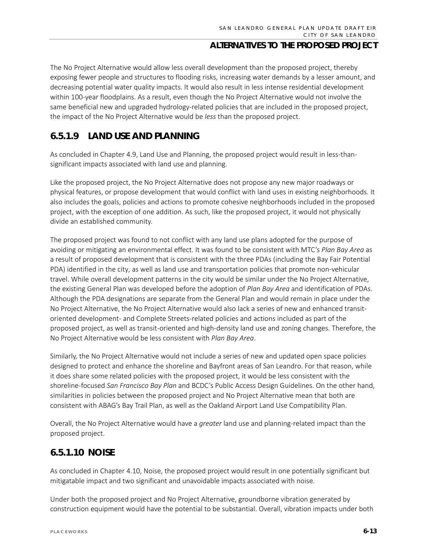The No Project Alternative would allow less overall development than the proposed project, thereby exposing fewer people and structures to flooding risks, increasing water demands by a lesser amount, and decreasing potential water quality impacts. It would also result in less intense residential development within 100-year floodplains. As a result, even though the No Project Alternative would not involve the same beneficial new and upgraded hydrology-related policies that are included in the proposed project, the impact of the No Project Alternative would be *less* than the proposed project.

## **6.5.1.9 LAND USE AND PLANNING**

As concluded in Chapter 4.9, Land Use and Planning, the proposed project would result in less-thansignificant impacts associated with land use and planning.

Like the proposed project, the No Project Alternative does not propose any new major roadways or physical features, or propose development that would conflict with land uses in existing neighborhoods. It also includes the goals, policies and actions to promote cohesive neighborhoods included in the proposed project, with the exception of one addition. As such, like the proposed project, it would not physically divide an established community.

The proposed project was found to not conflict with any land use plans adopted for the purpose of avoiding or mitigating an environmental effect. It was found to be consistent with MTC's *Plan Bay Area* as a result of proposed development that is consistent with the three PDAs (including the Bay Fair Potential PDA) identified in the city, as well as land use and transportation policies that promote non-vehicular travel. While overall development patterns in the city would be similar under the No Project Alternative, the existing General Plan was developed before the adoption of *Plan Bay Area* and identification of PDAs. Although the PDA designations are separate from the General Plan and would remain in place under the No Project Alternative, the No Project Alternative would also lack a series of new and enhanced transitoriented development- and Complete Streets-related policies and actions included as part of the proposed project, as well as transit-oriented and high-density land use and zoning changes. Therefore, the No Project Alternative would be less consistent with *Plan Bay Area*.

Similarly, the No Project Alternative would not include a series of new and updated open space policies designed to protect and enhance the shoreline and Bayfront areas of San Leandro. For that reason, while it does share some related policies with the proposed project, it would be less consistent with the shoreline-focused *San Francisco Bay Plan* and BCDC's Public Access Design Guidelines. On the other hand, similarities in policies between the proposed project and No Project Alternative mean that both are consistent with ABAG's Bay Trail Plan, as well as the Oakland Airport Land Use Compatibility Plan.

Overall, the No Project Alternative would have a *greater* land use and planning-related impact than the proposed project.

## **6.5.1.10 NOISE**

As concluded in Chapter 4.10, Noise, the proposed project would result in one potentially significant but mitigatable impact and two significant and unavoidable impacts associated with noise.

Under both the proposed project and No Project Alternative, groundborne vibration generated by construction equipment would have the potential to be substantial. Overall, vibration impacts under both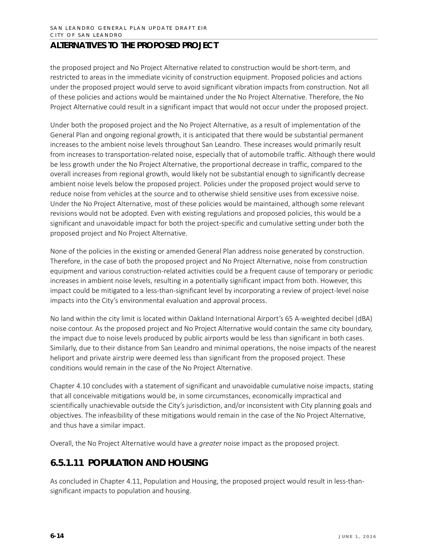the proposed project and No Project Alternative related to construction would be short-term, and restricted to areas in the immediate vicinity of construction equipment. Proposed policies and actions under the proposed project would serve to avoid significant vibration impacts from construction. Not all of these policies and actions would be maintained under the No Project Alternative. Therefore, the No Project Alternative could result in a significant impact that would not occur under the proposed project.

Under both the proposed project and the No Project Alternative, as a result of implementation of the General Plan and ongoing regional growth, it is anticipated that there would be substantial permanent increases to the ambient noise levels throughout San Leandro. These increases would primarily result from increases to transportation-related noise, especially that of automobile traffic. Although there would be less growth under the No Project Alternative, the proportional decrease in traffic, compared to the overall increases from regional growth, would likely not be substantial enough to significantly decrease ambient noise levels below the proposed project. Policies under the proposed project would serve to reduce noise from vehicles at the source and to otherwise shield sensitive uses from excessive noise. Under the No Project Alternative, most of these policies would be maintained, although some relevant revisions would not be adopted. Even with existing regulations and proposed policies, this would be a significant and unavoidable impact for both the project-specific and cumulative setting under both the proposed project and No Project Alternative.

None of the policies in the existing or amended General Plan address noise generated by construction. Therefore, in the case of both the proposed project and No Project Alternative, noise from construction equipment and various construction-related activities could be a frequent cause of temporary or periodic increases in ambient noise levels, resulting in a potentially significant impact from both. However, this impact could be mitigated to a less-than-significant level by incorporating a review of project-level noise impacts into the City's environmental evaluation and approval process.

No land within the city limit is located within Oakland International Airport's 65 A-weighted decibel (dBA) noise contour. As the proposed project and No Project Alternative would contain the same city boundary, the impact due to noise levels produced by public airports would be less than significant in both cases. Similarly, due to their distance from San Leandro and minimal operations, the noise impacts of the nearest heliport and private airstrip were deemed less than significant from the proposed project. These conditions would remain in the case of the No Project Alternative.

Chapter 4.10 concludes with a statement of significant and unavoidable cumulative noise impacts, stating that all conceivable mitigations would be, in some circumstances, economically impractical and scientifically unachievable outside the City's jurisdiction, and/or inconsistent with City planning goals and objectives. The infeasibility of these mitigations would remain in the case of the No Project Alternative, and thus have a similar impact.

Overall, the No Project Alternative would have a *greater* noise impact as the proposed project.

## **6.5.1.11 POPULATION AND HOUSING**

As concluded in Chapter 4.11, Population and Housing, the proposed project would result in less-thansignificant impacts to population and housing.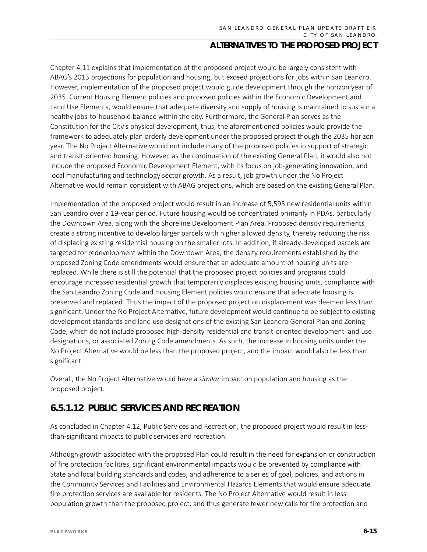Chapter 4.11 explains that implementation of the proposed project would be largely consistent with ABAG's 2013 projections for population and housing, but exceed projections for jobs within San Leandro. However, implementation of the proposed project would guide development through the horizon year of 2035. Current Housing Element policies and proposed policies within the Economic Development and Land Use Elements, would ensure that adequate diversity and supply of housing is maintained to sustain a healthy jobs-to-household balance within the city. Furthermore, the General Plan serves as the Constitution for the City's physical development, thus, the aforementioned policies would provide the framework to adequately plan orderly development under the proposed project though the 2035 horizon year. The No Project Alternative would not include many of the proposed policies in support of strategic and transit-oriented housing. However, as the continuation of the existing General Plan, it would also not include the proposed Economic Development Element, with its focus on job-generating innovation, and local manufacturing and technology sector growth. As a result, job growth under the No Project Alternative would remain consistent with ABAG projections, which are based on the existing General Plan.

Implementation of the proposed project would result in an increase of 5,595 new residential units within San Leandro over a 19-year period. Future housing would be concentrated primarily in PDAs, particularly the Downtown Area, along with the Shoreline Development Plan Area. Proposed density requirements create a strong incentive to develop larger parcels with higher allowed density, thereby reducing the risk of displacing existing residential housing on the smaller lots. In addition, if already-developed parcels are targeted for redevelopment within the Downtown Area, the density requirements established by the proposed Zoning Code amendments would ensure that an adequate amount of housing units are replaced. While there is still the potential that the proposed project policies and programs could encourage increased residential growth that temporarily displaces existing housing units, compliance with the San Leandro Zoning Code and Housing Element policies would ensure that adequate housing is preserved and replaced. Thus the impact of the proposed project on displacement was deemed less than significant. Under the No Project Alternative, future development would continue to be subject to existing development standards and land use designations of the existing San Leandro General Plan and Zoning Code, which do not include proposed high-density residential and transit-oriented development land use designations, or associated Zoning Code amendments. As such, the increase in housing units under the No Project Alternative would be less than the proposed project, and the impact would also be less than significant.

Overall, the No Project Alternative would have a *similar* impact on population and housing as the proposed project.

## **6.5.1.12 PUBLIC SERVICES AND RECREATION**

As concluded in Chapter 4.12, Public Services and Recreation, the proposed project would result in lessthan-significant impacts to public services and recreation.

Although growth associated with the proposed Plan could result in the need for expansion or construction of fire protection facilities, significant environmental impacts would be prevented by compliance with State and local building standards and codes, and adherence to a series of goal, policies, and actions in the Community Services and Facilities and Environmental Hazards Elements that would ensure adequate fire protection services are available for residents. The No Project Alternative would result in less population growth than the proposed project, and thus generate fewer new calls for fire protection and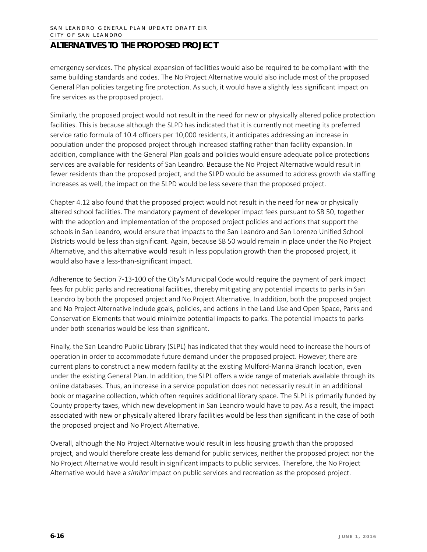emergency services. The physical expansion of facilities would also be required to be compliant with the same building standards and codes. The No Project Alternative would also include most of the proposed General Plan policies targeting fire protection. As such, it would have a slightly less significant impact on fire services as the proposed project.

Similarly, the proposed project would not result in the need for new or physically altered police protection facilities. This is because although the SLPD has indicated that it is currently not meeting its preferred service ratio formula of 10.4 officers per 10,000 residents, it anticipates addressing an increase in population under the proposed project through increased staffing rather than facility expansion. In addition, compliance with the General Plan goals and policies would ensure adequate police protections services are available for residents of San Leandro. Because the No Project Alternative would result in fewer residents than the proposed project, and the SLPD would be assumed to address growth via staffing increases as well, the impact on the SLPD would be less severe than the proposed project.

Chapter 4.12 also found that the proposed project would not result in the need for new or physically altered school facilities. The mandatory payment of developer impact fees pursuant to SB 50, together with the adoption and implementation of the proposed project policies and actions that support the schools in San Leandro, would ensure that impacts to the San Leandro and San Lorenzo Unified School Districts would be less than significant. Again, because SB 50 would remain in place under the No Project Alternative, and this alternative would result in less population growth than the proposed project, it would also have a less-than-significant impact.

Adherence to Section 7-13-100 of the City's Municipal Code would require the payment of park impact fees for public parks and recreational facilities, thereby mitigating any potential impacts to parks in San Leandro by both the proposed project and No Project Alternative. In addition, both the proposed project and No Project Alternative include goals, policies, and actions in the Land Use and Open Space, Parks and Conservation Elements that would minimize potential impacts to parks. The potential impacts to parks under both scenarios would be less than significant.

Finally, the San Leandro Public Library (SLPL) has indicated that they would need to increase the hours of operation in order to accommodate future demand under the proposed project. However, there are current plans to construct a new modern facility at the existing Mulford-Marina Branch location, even under the existing General Plan. In addition, the SLPL offers a wide range of materials available through its online databases. Thus, an increase in a service population does not necessarily result in an additional book or magazine collection, which often requires additional library space. The SLPL is primarily funded by County property taxes, which new development in San Leandro would have to pay. As a result, the impact associated with new or physically altered library facilities would be less than significant in the case of both the proposed project and No Project Alternative.

Overall, although the No Project Alternative would result in less housing growth than the proposed project, and would therefore create less demand for public services, neither the proposed project nor the No Project Alternative would result in significant impacts to public services. Therefore, the No Project Alternative would have a *similar* impact on public services and recreation as the proposed project.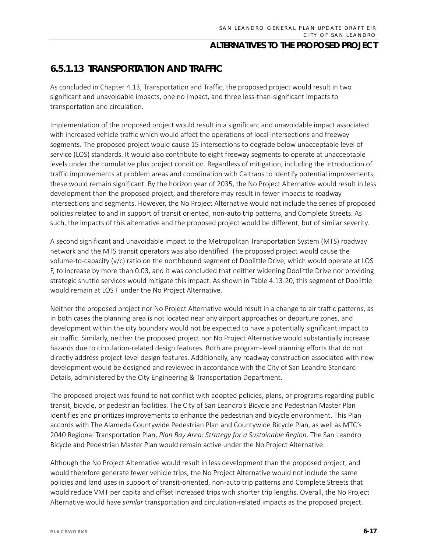## **6.5.1.13 TRANSPORTATION AND TRAFFIC**

As concluded in Chapter 4.13, Transportation and Traffic, the proposed project would result in two significant and unavoidable impacts, one no impact, and three less-than-significant impacts to transportation and circulation.

Implementation of the proposed project would result in a significant and unavoidable impact associated with increased vehicle traffic which would affect the operations of local intersections and freeway segments. The proposed project would cause 15 intersections to degrade below unacceptable level of service (LOS) standards. It would also contribute to eight freeway segments to operate at unacceptable levels under the cumulative plus project condition. Regardless of mitigation, including the introduction of traffic improvements at problem areas and coordination with Caltrans to identify potential improvements, these would remain significant. By the horizon year of 2035, the No Project Alternative would result in less development than the proposed project, and therefore may result in fewer impacts to roadway intersections and segments. However, the No Project Alternative would not include the series of proposed policies related to and in support of transit oriented, non-auto trip patterns, and Complete Streets. As such, the impacts of this alternative and the proposed project would be different, but of similar severity.

A second significant and unavoidable impact to the Metropolitan Transportation System (MTS) roadway network and the MTS transit operators was also identified. The proposed project would cause the volume-to-capacity (v/c) ratio on the northbound segment of Doolittle Drive, which would operate at LOS F, to increase by more than 0.03, and it was concluded that neither widening Doolittle Drive nor providing strategic shuttle services would mitigate this impact. As shown in Table 4.13-20, this segment of Doolittle would remain at LOS F under the No Project Alternative.

Neither the proposed project nor No Project Alternative would result in a change to air traffic patterns, as in both cases the planning area is not located near any airport approaches or departure zones, and development within the city boundary would not be expected to have a potentially significant impact to air traffic. Similarly, neither the proposed project nor No Project Alternative would substantially increase hazards due to circulation-related design features. Both are program-level planning efforts that do not directly address project-level design features. Additionally, any roadway construction associated with new development would be designed and reviewed in accordance with the City of San Leandro Standard Details, administered by the City Engineering & Transportation Department.

The proposed project was found to not conflict with adopted policies, plans, or programs regarding public transit, bicycle, or pedestrian facilities. The City of San Leandro's Bicycle and Pedestrian Master Plan identifies and prioritizes improvements to enhance the pedestrian and bicycle environment. This Plan accords with The Alameda Countywide Pedestrian Plan and Countywide Bicycle Plan, as well as MTC's 2040 Regional Transportation Plan, *Plan Bay Area: Strategy for a Sustainable Region*. The San Leandro Bicycle and Pedestrian Master Plan would remain active under the No Project Alternative.

Although the No Project Alternative would result in less development than the proposed project, and would therefore generate fewer vehicle trips, the No Project Alternative would not include the same policies and land uses in support of transit-oriented, non-auto trip patterns and Complete Streets that would reduce VMT per capita and offset increased trips with shorter trip lengths. Overall, the No Project Alternative would have *similar* transportation and circulation-related impacts as the proposed project.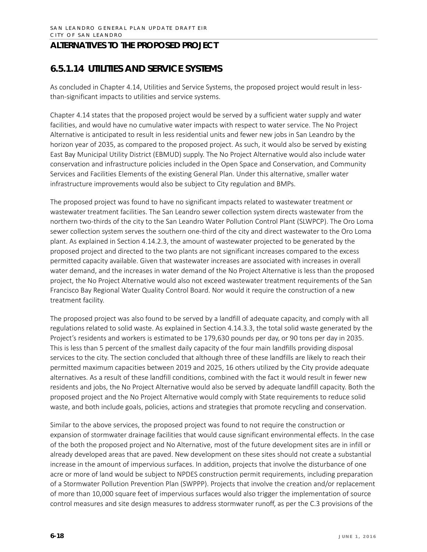## **6.5.1.14 UTILITIES AND SERVICE SYSTEMS**

As concluded in Chapter 4.14, Utilities and Service Systems, the proposed project would result in lessthan-significant impacts to utilities and service systems.

Chapter 4.14 states that the proposed project would be served by a sufficient water supply and water facilities, and would have no cumulative water impacts with respect to water service. The No Project Alternative is anticipated to result in less residential units and fewer new jobs in San Leandro by the horizon year of 2035, as compared to the proposed project. As such, it would also be served by existing East Bay Municipal Utility District (EBMUD) supply. The No Project Alternative would also include water conservation and infrastructure policies included in the Open Space and Conservation, and Community Services and Facilities Elements of the existing General Plan. Under this alternative, smaller water infrastructure improvements would also be subject to City regulation and BMPs.

The proposed project was found to have no significant impacts related to wastewater treatment or wastewater treatment facilities. The San Leandro sewer collection system directs wastewater from the northern two-thirds of the city to the San Leandro Water Pollution Control Plant (SLWPCP). The Oro Loma sewer collection system serves the southern one-third of the city and direct wastewater to the Oro Loma plant. As explained in Section 4.14.2.3, the amount of wastewater projected to be generated by the proposed project and directed to the two plants are not significant increases compared to the excess permitted capacity available. Given that wastewater increases are associated with increases in overall water demand, and the increases in water demand of the No Project Alternative is less than the proposed project, the No Project Alternative would also not exceed wastewater treatment requirements of the San Francisco Bay Regional Water Quality Control Board. Nor would it require the construction of a new treatment facility.

The proposed project was also found to be served by a landfill of adequate capacity, and comply with all regulations related to solid waste. As explained in Section 4.14.3.3, the total solid waste generated by the Project's residents and workers is estimated to be 179,630 pounds per day, or 90 tons per day in 2035. This is less than 5 percent of the smallest daily capacity of the four main landfills providing disposal services to the city. The section concluded that although three of these landfills are likely to reach their permitted maximum capacities between 2019 and 2025, 16 others utilized by the City provide adequate alternatives. As a result of these landfill conditions, combined with the fact it would result in fewer new residents and jobs, the No Project Alternative would also be served by adequate landfill capacity. Both the proposed project and the No Project Alternative would comply with State requirements to reduce solid waste, and both include goals, policies, actions and strategies that promote recycling and conservation.

Similar to the above services, the proposed project was found to not require the construction or expansion of stormwater drainage facilities that would cause significant environmental effects. In the case of the both the proposed project and No Alternative, most of the future development sites are in infill or already developed areas that are paved. New development on these sites should not create a substantial increase in the amount of impervious surfaces. In addition, projects that involve the disturbance of one acre or more of land would be subject to NPDES construction permit requirements, including preparation of a Stormwater Pollution Prevention Plan (SWPPP). Projects that involve the creation and/or replacement of more than 10,000 square feet of impervious surfaces would also trigger the implementation of source control measures and site design measures to address stormwater runoff, as per the C.3 provisions of the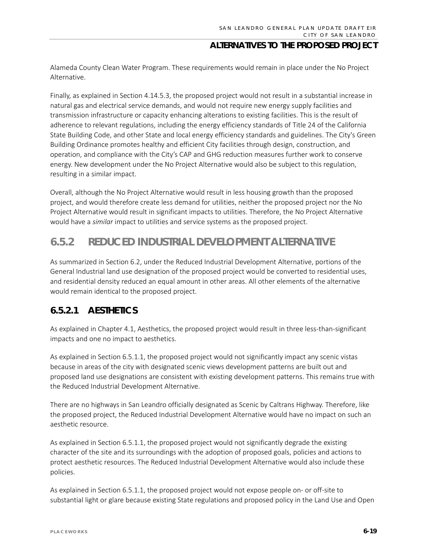Alameda County Clean Water Program. These requirements would remain in place under the No Project Alternative.

Finally, as explained in Section 4.14.5.3, the proposed project would not result in a substantial increase in natural gas and electrical service demands, and would not require new energy supply facilities and transmission infrastructure or capacity enhancing alterations to existing facilities. This is the result of adherence to relevant regulations, including the energy efficiency standards of Title 24 of the California State Building Code, and other State and local energy efficiency standards and guidelines. The City's Green Building Ordinance promotes healthy and efficient City facilities through design, construction, and operation, and compliance with the City's CAP and GHG reduction measures further work to conserve energy. New development under the No Project Alternative would also be subject to this regulation, resulting in a similar impact.

Overall, although the No Project Alternative would result in less housing growth than the proposed project, and would therefore create less demand for utilities, neither the proposed project nor the No Project Alternative would result in significant impacts to utilities. Therefore, the No Project Alternative would have a *similar* impact to utilities and service systems as the proposed project.

## **6.5.2 REDUCED INDUSTRIAL DEVELOPMENT ALTERNATIVE**

As summarized in Section 6.2, under the Reduced Industrial Development Alternative, portions of the General Industrial land use designation of the proposed project would be converted to residential uses, and residential density reduced an equal amount in other areas. All other elements of the alternative would remain identical to the proposed project.

## **6.5.2.1 AESTHETICS**

As explained in Chapter 4.1, Aesthetics, the proposed project would result in three less-than-significant impacts and one no impact to aesthetics.

As explained in Section 6.5.1.1, the proposed project would not significantly impact any scenic vistas because in areas of the city with designated scenic views development patterns are built out and proposed land use designations are consistent with existing development patterns. This remains true with the Reduced Industrial Development Alternative.

There are no highways in San Leandro officially designated as Scenic by Caltrans Highway. Therefore, like the proposed project, the Reduced Industrial Development Alternative would have no impact on such an aesthetic resource.

As explained in Section 6.5.1.1, the proposed project would not significantly degrade the existing character of the site and its surroundings with the adoption of proposed goals, policies and actions to protect aesthetic resources. The Reduced Industrial Development Alternative would also include these policies.

As explained in Section 6.5.1.1, the proposed project would not expose people on- or off-site to substantial light or glare because existing State regulations and proposed policy in the Land Use and Open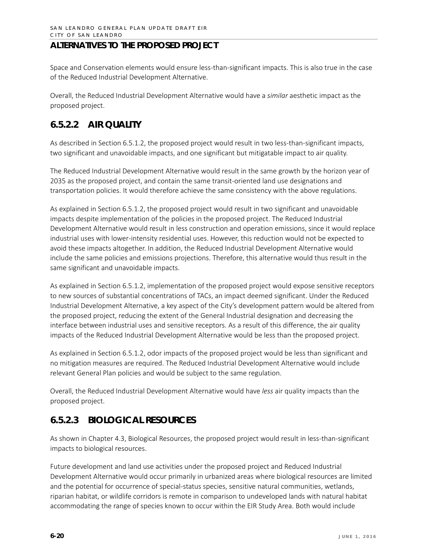Space and Conservation elements would ensure less-than-significant impacts. This is also true in the case of the Reduced Industrial Development Alternative.

Overall, the Reduced Industrial Development Alternative would have a *similar* aesthetic impact as the proposed project.

## **6.5.2.2 AIR QUALITY**

As described in Section 6.5.1.2, the proposed project would result in two less-than-significant impacts, two significant and unavoidable impacts, and one significant but mitigatable impact to air quality.

The Reduced Industrial Development Alternative would result in the same growth by the horizon year of 2035 as the proposed project, and contain the same transit-oriented land use designations and transportation policies. It would therefore achieve the same consistency with the above regulations.

As explained in Section 6.5.1.2, the proposed project would result in two significant and unavoidable impacts despite implementation of the policies in the proposed project. The Reduced Industrial Development Alternative would result in less construction and operation emissions, since it would replace industrial uses with lower-intensity residential uses. However, this reduction would not be expected to avoid these impacts altogether. In addition, the Reduced Industrial Development Alternative would include the same policies and emissions projections. Therefore, this alternative would thus result in the same significant and unavoidable impacts.

As explained in Section 6.5.1.2, implementation of the proposed project would expose sensitive receptors to new sources of substantial concentrations of TACs, an impact deemed significant. Under the Reduced Industrial Development Alternative, a key aspect of the City's development pattern would be altered from the proposed project, reducing the extent of the General Industrial designation and decreasing the interface between industrial uses and sensitive receptors. As a result of this difference, the air quality impacts of the Reduced Industrial Development Alternative would be less than the proposed project.

As explained in Section 6.5.1.2, odor impacts of the proposed project would be less than significant and no mitigation measures are required. The Reduced Industrial Development Alternative would include relevant General Plan policies and would be subject to the same regulation.

Overall, the Reduced Industrial Development Alternative would have *less* air quality impacts than the proposed project.

## **6.5.2.3 BIOLOGICAL RESOURCES**

As shown in Chapter 4.3, Biological Resources, the proposed project would result in less-than-significant impacts to biological resources.

Future development and land use activities under the proposed project and Reduced Industrial Development Alternative would occur primarily in urbanized areas where biological resources are limited and the potential for occurrence of special-status species, sensitive natural communities, wetlands, riparian habitat, or wildlife corridors is remote in comparison to undeveloped lands with natural habitat accommodating the range of species known to occur within the EIR Study Area. Both would include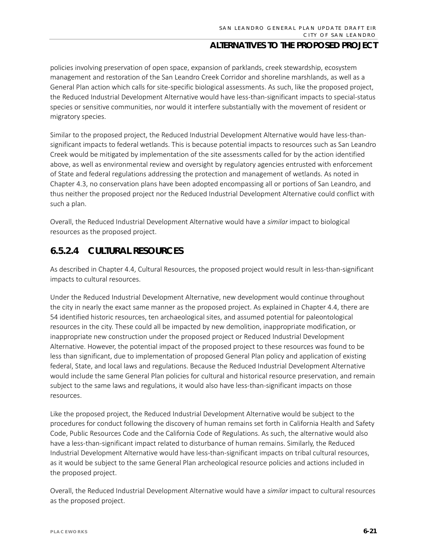policies involving preservation of open space, expansion of parklands, creek stewardship, ecosystem management and restoration of the San Leandro Creek Corridor and shoreline marshlands, as well as a General Plan action which calls for site-specific biological assessments. As such, like the proposed project, the Reduced Industrial Development Alternative would have less-than-significant impacts to special-status species or sensitive communities, nor would it interfere substantially with the movement of resident or migratory species.

Similar to the proposed project, the Reduced Industrial Development Alternative would have less-thansignificant impacts to federal wetlands. This is because potential impacts to resources such as San Leandro Creek would be mitigated by implementation of the site assessments called for by the action identified above, as well as environmental review and oversight by regulatory agencies entrusted with enforcement of State and federal regulations addressing the protection and management of wetlands. As noted in Chapter 4.3, no conservation plans have been adopted encompassing all or portions of San Leandro, and thus neither the proposed project nor the Reduced Industrial Development Alternative could conflict with such a plan.

Overall, the Reduced Industrial Development Alternative would have a *similar* impact to biological resources as the proposed project.

#### **6.5.2.4 CULTURAL RESOURCES**

As described in Chapter 4.4, Cultural Resources, the proposed project would result in less-than-significant impacts to cultural resources.

Under the Reduced Industrial Development Alternative, new development would continue throughout the city in nearly the exact same manner as the proposed project. As explained in Chapter 4.4, there are 54 identified historic resources, ten archaeological sites, and assumed potential for paleontological resources in the city. These could all be impacted by new demolition, inappropriate modification, or inappropriate new construction under the proposed project or Reduced Industrial Development Alternative. However, the potential impact of the proposed project to these resources was found to be less than significant, due to implementation of proposed General Plan policy and application of existing federal, State, and local laws and regulations. Because the Reduced Industrial Development Alternative would include the same General Plan policies for cultural and historical resource preservation, and remain subject to the same laws and regulations, it would also have less-than-significant impacts on those resources.

Like the proposed project, the Reduced Industrial Development Alternative would be subject to the procedures for conduct following the discovery of human remains set forth in California Health and Safety Code, Public Resources Code and the California Code of Regulations. As such, the alternative would also have a less-than-significant impact related to disturbance of human remains. Similarly, the Reduced Industrial Development Alternative would have less-than-significant impacts on tribal cultural resources, as it would be subject to the same General Plan archeological resource policies and actions included in the proposed project.

Overall, the Reduced Industrial Development Alternative would have a *similar* impact to cultural resources as the proposed project.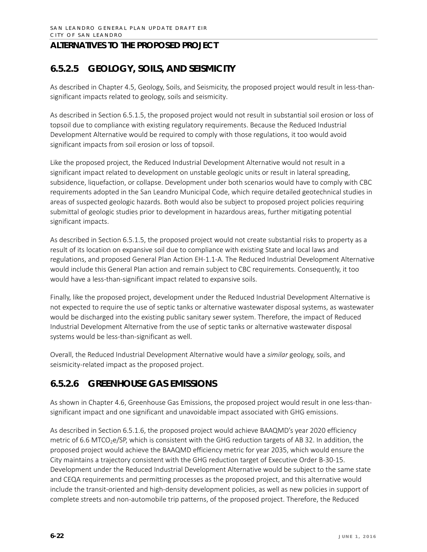## **6.5.2.5 GEOLOGY, SOILS, AND SEISMICITY**

As described in Chapter 4.5, Geology, Soils, and Seismicity, the proposed project would result in less-thansignificant impacts related to geology, soils and seismicity.

As described in Section 6.5.1.5, the proposed project would not result in substantial soil erosion or loss of topsoil due to compliance with existing regulatory requirements. Because the Reduced Industrial Development Alternative would be required to comply with those regulations, it too would avoid significant impacts from soil erosion or loss of topsoil.

Like the proposed project, the Reduced Industrial Development Alternative would not result in a significant impact related to development on unstable geologic units or result in lateral spreading, subsidence, liquefaction, or collapse. Development under both scenarios would have to comply with CBC requirements adopted in the San Leandro Municipal Code, which require detailed geotechnical studies in areas of suspected geologic hazards. Both would also be subject to proposed project policies requiring submittal of geologic studies prior to development in hazardous areas, further mitigating potential significant impacts.

As described in Section 6.5.1.5, the proposed project would not create substantial risks to property as a result of its location on expansive soil due to compliance with existing State and local laws and regulations, and proposed General Plan Action EH-1.1-A. The Reduced Industrial Development Alternative would include this General Plan action and remain subject to CBC requirements. Consequently, it too would have a less-than-significant impact related to expansive soils.

Finally, like the proposed project, development under the Reduced Industrial Development Alternative is not expected to require the use of septic tanks or alternative wastewater disposal systems, as wastewater would be discharged into the existing public sanitary sewer system. Therefore, the impact of Reduced Industrial Development Alternative from the use of septic tanks or alternative wastewater disposal systems would be less-than-significant as well.

Overall, the Reduced Industrial Development Alternative would have a *similar* geology, soils, and seismicity-related impact as the proposed project.

## **6.5.2.6 GREENHOUSE GAS EMISSIONS**

As shown in Chapter 4.6, Greenhouse Gas Emissions, the proposed project would result in one less-thansignificant impact and one significant and unavoidable impact associated with GHG emissions.

As described in Section 6.5.1.6, the proposed project would achieve BAAQMD's year 2020 efficiency metric of 6.6 MTCO<sub>2</sub>e/SP, which is consistent with the GHG reduction targets of AB 32. In addition, the proposed project would achieve the BAAQMD efficiency metric for year 2035, which would ensure the City maintains a trajectory consistent with the GHG reduction target of Executive Order B-30-15. Development under the Reduced Industrial Development Alternative would be subject to the same state and CEQA requirements and permitting processes as the proposed project, and this alternative would include the transit-oriented and high-density development policies, as well as new policies in support of complete streets and non-automobile trip patterns, of the proposed project. Therefore, the Reduced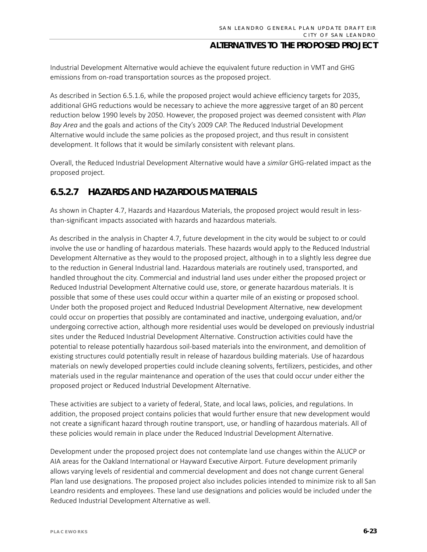Industrial Development Alternative would achieve the equivalent future reduction in VMT and GHG emissions from on-road transportation sources as the proposed project.

As described in Section 6.5.1.6, while the proposed project would achieve efficiency targets for 2035, additional GHG reductions would be necessary to achieve the more aggressive target of an 80 percent reduction below 1990 levels by 2050. However, the proposed project was deemed consistent with *Plan Bay Area* and the goals and actions of the City's 2009 CAP. The Reduced Industrial Development Alternative would include the same policies as the proposed project, and thus result in consistent development. It follows that it would be similarly consistent with relevant plans.

Overall, the Reduced Industrial Development Alternative would have a *similar* GHG-related impact as the proposed project.

## **6.5.2.7 HAZARDS AND HAZARDOUS MATERIALS**

As shown in Chapter 4.7, Hazards and Hazardous Materials, the proposed project would result in lessthan-significant impacts associated with hazards and hazardous materials.

As described in the analysis in Chapter 4.7, future development in the city would be subject to or could involve the use or handling of hazardous materials. These hazards would apply to the Reduced Industrial Development Alternative as they would to the proposed project, although in to a slightly less degree due to the reduction in General Industrial land. Hazardous materials are routinely used, transported, and handled throughout the city. Commercial and industrial land uses under either the proposed project or Reduced Industrial Development Alternative could use, store, or generate hazardous materials. It is possible that some of these uses could occur within a quarter mile of an existing or proposed school. Under both the proposed project and Reduced Industrial Development Alternative, new development could occur on properties that possibly are contaminated and inactive, undergoing evaluation, and/or undergoing corrective action, although more residential uses would be developed on previously industrial sites under the Reduced Industrial Development Alternative. Construction activities could have the potential to release potentially hazardous soil-based materials into the environment, and demolition of existing structures could potentially result in release of hazardous building materials. Use of hazardous materials on newly developed properties could include cleaning solvents, fertilizers, pesticides, and other materials used in the regular maintenance and operation of the uses that could occur under either the proposed project or Reduced Industrial Development Alternative.

These activities are subject to a variety of federal, State, and local laws, policies, and regulations. In addition, the proposed project contains policies that would further ensure that new development would not create a significant hazard through routine transport, use, or handling of hazardous materials. All of these policies would remain in place under the Reduced Industrial Development Alternative.

Development under the proposed project does not contemplate land use changes within the ALUCP or AIA areas for the Oakland International or Hayward Executive Airport. Future development primarily allows varying levels of residential and commercial development and does not change current General Plan land use designations. The proposed project also includes policies intended to minimize risk to all San Leandro residents and employees. These land use designations and policies would be included under the Reduced Industrial Development Alternative as well.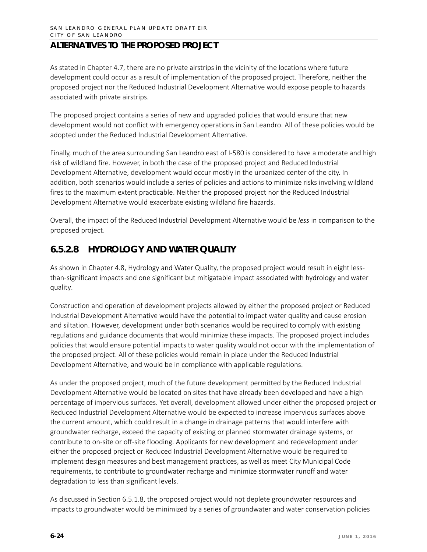As stated in Chapter 4.7, there are no private airstrips in the vicinity of the locations where future development could occur as a result of implementation of the proposed project. Therefore, neither the proposed project nor the Reduced Industrial Development Alternative would expose people to hazards associated with private airstrips.

The proposed project contains a series of new and upgraded policies that would ensure that new development would not conflict with emergency operations in San Leandro. All of these policies would be adopted under the Reduced Industrial Development Alternative.

Finally, much of the area surrounding San Leandro east of I-580 is considered to have a moderate and high risk of wildland fire. However, in both the case of the proposed project and Reduced Industrial Development Alternative, development would occur mostly in the urbanized center of the city. In addition, both scenarios would include a series of policies and actions to minimize risks involving wildland fires to the maximum extent practicable. Neither the proposed project nor the Reduced Industrial Development Alternative would exacerbate existing wildland fire hazards.

Overall, the impact of the Reduced Industrial Development Alternative would be *less* in comparison to the proposed project.

## **6.5.2.8 HYDROLOGY AND WATER QUALITY**

As shown in Chapter 4.8, Hydrology and Water Quality, the proposed project would result in eight lessthan-significant impacts and one significant but mitigatable impact associated with hydrology and water quality.

Construction and operation of development projects allowed by either the proposed project or Reduced Industrial Development Alternative would have the potential to impact water quality and cause erosion and siltation. However, development under both scenarios would be required to comply with existing regulations and guidance documents that would minimize these impacts. The proposed project includes policies that would ensure potential impacts to water quality would not occur with the implementation of the proposed project. All of these policies would remain in place under the Reduced Industrial Development Alternative, and would be in compliance with applicable regulations.

As under the proposed project, much of the future development permitted by the Reduced Industrial Development Alternative would be located on sites that have already been developed and have a high percentage of impervious surfaces. Yet overall, development allowed under either the proposed project or Reduced Industrial Development Alternative would be expected to increase impervious surfaces above the current amount, which could result in a change in drainage patterns that would interfere with groundwater recharge, exceed the capacity of existing or planned stormwater drainage systems, or contribute to on-site or off-site flooding. Applicants for new development and redevelopment under either the proposed project or Reduced Industrial Development Alternative would be required to implement design measures and best management practices, as well as meet City Municipal Code requirements, to contribute to groundwater recharge and minimize stormwater runoff and water degradation to less than significant levels.

As discussed in Section 6.5.1.8, the proposed project would not deplete groundwater resources and impacts to groundwater would be minimized by a series of groundwater and water conservation policies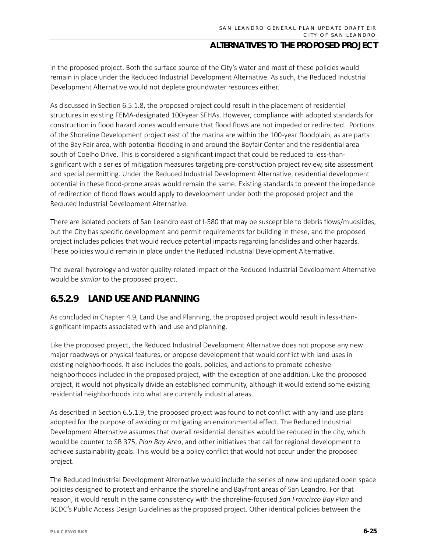in the proposed project. Both the surface source of the City's water and most of these policies would remain in place under the Reduced Industrial Development Alternative. As such, the Reduced Industrial Development Alternative would not deplete groundwater resources either.

As discussed in Section 6.5.1.8, the proposed project could result in the placement of residential structures in existing FEMA-designated 100-year SFHAs. However, compliance with adopted standards for construction in flood hazard zones would ensure that flood flows are not impeded or redirected. Portions of the Shoreline Development project east of the marina are within the 100-year floodplain, as are parts of the Bay Fair area, with potential flooding in and around the Bayfair Center and the residential area south of Coelho Drive. This is considered a significant impact that could be reduced to less-thansignificant with a series of mitigation measures targeting pre-construction project review, site assessment and special permitting. Under the Reduced Industrial Development Alternative, residential development potential in these flood-prone areas would remain the same. Existing standards to prevent the impedance of redirection of flood flows would apply to development under both the proposed project and the Reduced Industrial Development Alternative.

There are isolated pockets of San Leandro east of I-580 that may be susceptible to debris flows/mudslides, but the City has specific development and permit requirements for building in these, and the proposed project includes policies that would reduce potential impacts regarding landslides and other hazards. These policies would remain in place under the Reduced Industrial Development Alternative.

The overall hydrology and water quality-related impact of the Reduced Industrial Development Alternative would be *similar* to the proposed project.

## **6.5.2.9 LAND USE AND PLANNING**

As concluded in Chapter 4.9, Land Use and Planning, the proposed project would result in less-thansignificant impacts associated with land use and planning.

Like the proposed project, the Reduced Industrial Development Alternative does not propose any new major roadways or physical features, or propose development that would conflict with land uses in existing neighborhoods. It also includes the goals, policies, and actions to promote cohesive neighborhoods included in the proposed project, with the exception of one addition. Like the proposed project, it would not physically divide an established community, although it would extend some existing residential neighborhoods into what are currently industrial areas.

As described in Section 6.5.1.9, the proposed project was found to not conflict with any land use plans adopted for the purpose of avoiding or mitigating an environmental effect. The Reduced Industrial Development Alternative assumes that overall residential densities would be reduced in the city, which would be counter to SB 375, *Plan Bay Area*, and other initiatives that call for regional development to achieve sustainability goals. This would be a policy conflict that would not occur under the proposed project.

The Reduced Industrial Development Alternative would include the series of new and updated open space policies designed to protect and enhance the shoreline and Bayfront areas of San Leandro. For that reason, it would result in the same consistency with the shoreline-focused *San Francisco Bay Plan* and BCDC's Public Access Design Guidelines as the proposed project. Other identical policies between the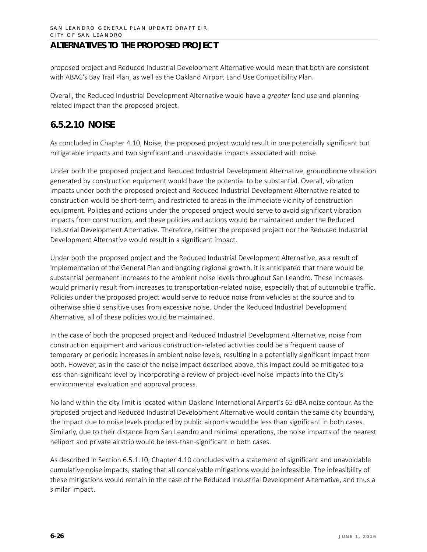proposed project and Reduced Industrial Development Alternative would mean that both are consistent with ABAG's Bay Trail Plan, as well as the Oakland Airport Land Use Compatibility Plan.

Overall, the Reduced Industrial Development Alternative would have a *greater* land use and planningrelated impact than the proposed project.

## **6.5.2.10 NOISE**

As concluded in Chapter 4.10, Noise, the proposed project would result in one potentially significant but mitigatable impacts and two significant and unavoidable impacts associated with noise.

Under both the proposed project and Reduced Industrial Development Alternative, groundborne vibration generated by construction equipment would have the potential to be substantial. Overall, vibration impacts under both the proposed project and Reduced Industrial Development Alternative related to construction would be short-term, and restricted to areas in the immediate vicinity of construction equipment. Policies and actions under the proposed project would serve to avoid significant vibration impacts from construction, and these policies and actions would be maintained under the Reduced Industrial Development Alternative. Therefore, neither the proposed project nor the Reduced Industrial Development Alternative would result in a significant impact.

Under both the proposed project and the Reduced Industrial Development Alternative, as a result of implementation of the General Plan and ongoing regional growth, it is anticipated that there would be substantial permanent increases to the ambient noise levels throughout San Leandro. These increases would primarily result from increases to transportation-related noise, especially that of automobile traffic. Policies under the proposed project would serve to reduce noise from vehicles at the source and to otherwise shield sensitive uses from excessive noise. Under the Reduced Industrial Development Alternative, all of these policies would be maintained.

In the case of both the proposed project and Reduced Industrial Development Alternative, noise from construction equipment and various construction-related activities could be a frequent cause of temporary or periodic increases in ambient noise levels, resulting in a potentially significant impact from both. However, as in the case of the noise impact described above, this impact could be mitigated to a less-than-significant level by incorporating a review of project-level noise impacts into the City's environmental evaluation and approval process.

No land within the city limit is located within Oakland International Airport's 65 dBA noise contour. As the proposed project and Reduced Industrial Development Alternative would contain the same city boundary, the impact due to noise levels produced by public airports would be less than significant in both cases. Similarly, due to their distance from San Leandro and minimal operations, the noise impacts of the nearest heliport and private airstrip would be less-than-significant in both cases.

As described in Section 6.5.1.10, Chapter 4.10 concludes with a statement of significant and unavoidable cumulative noise impacts, stating that all conceivable mitigations would be infeasible. The infeasibility of these mitigations would remain in the case of the Reduced Industrial Development Alternative, and thus a similar impact.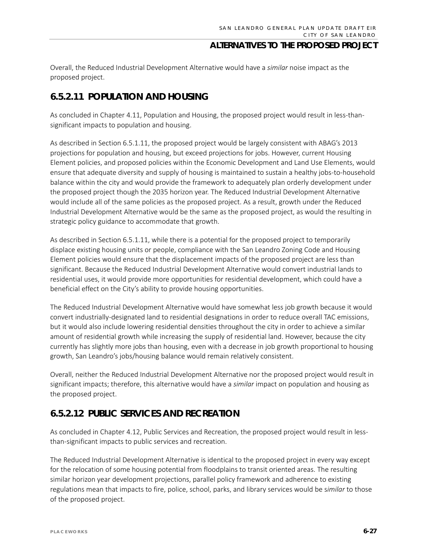Overall, the Reduced Industrial Development Alternative would have a *similar* noise impact as the proposed project.

## **6.5.2.11 POPULATION AND HOUSING**

As concluded in Chapter 4.11, Population and Housing, the proposed project would result in less-thansignificant impacts to population and housing.

As described in Section 6.5.1.11, the proposed project would be largely consistent with ABAG's 2013 projections for population and housing, but exceed projections for jobs. However, current Housing Element policies, and proposed policies within the Economic Development and Land Use Elements, would ensure that adequate diversity and supply of housing is maintained to sustain a healthy jobs-to-household balance within the city and would provide the framework to adequately plan orderly development under the proposed project though the 2035 horizon year. The Reduced Industrial Development Alternative would include all of the same policies as the proposed project. As a result, growth under the Reduced Industrial Development Alternative would be the same as the proposed project, as would the resulting in strategic policy guidance to accommodate that growth.

As described in Section 6.5.1.11, while there is a potential for the proposed project to temporarily displace existing housing units or people, compliance with the San Leandro Zoning Code and Housing Element policies would ensure that the displacement impacts of the proposed project are less than significant. Because the Reduced Industrial Development Alternative would convert industrial lands to residential uses, it would provide more opportunities for residential development, which could have a beneficial effect on the City's ability to provide housing opportunities.

The Reduced Industrial Development Alternative would have somewhat less job growth because it would convert industrially-designated land to residential designations in order to reduce overall TAC emissions, but it would also include lowering residential densities throughout the city in order to achieve a similar amount of residential growth while increasing the supply of residential land. However, because the city currently has slightly more jobs than housing, even with a decrease in job growth proportional to housing growth, San Leandro's jobs/housing balance would remain relatively consistent.

Overall, neither the Reduced Industrial Development Alternative nor the proposed project would result in significant impacts; therefore, this alternative would have a *similar* impact on population and housing as the proposed project.

## **6.5.2.12 PUBLIC SERVICES AND RECREATION**

As concluded in Chapter 4.12, Public Services and Recreation, the proposed project would result in lessthan-significant impacts to public services and recreation.

The Reduced Industrial Development Alternative is identical to the proposed project in every way except for the relocation of some housing potential from floodplains to transit oriented areas. The resulting similar horizon year development projections, parallel policy framework and adherence to existing regulations mean that impacts to fire, police, school, parks, and library services would be s*imilar* to those of the proposed project.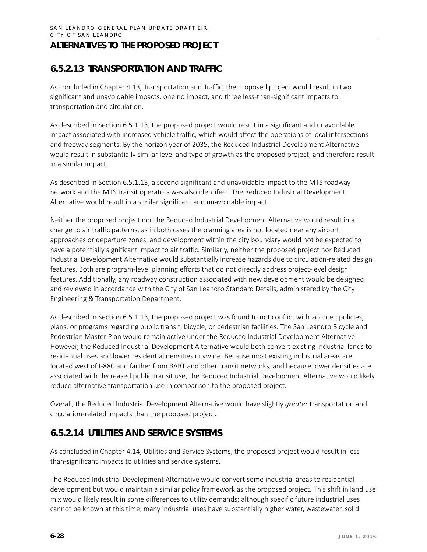## **6.5.2.13 TRANSPORTATION AND TRAFFIC**

As concluded in Chapter 4.13, Transportation and Traffic, the proposed project would result in two significant and unavoidable impacts, one no impact, and three less-than-significant impacts to transportation and circulation.

As described in Section 6.5.1.13, the proposed project would result in a significant and unavoidable impact associated with increased vehicle traffic, which would affect the operations of local intersections and freeway segments. By the horizon year of 2035, the Reduced Industrial Development Alternative would result in substantially similar level and type of growth as the proposed project, and therefore result in a similar impact.

As described in Section 6.5.1.13, a second significant and unavoidable impact to the MTS roadway network and the MTS transit operators was also identified. The Reduced Industrial Development Alternative would result in a similar significant and unavoidable impact.

Neither the proposed project nor the Reduced Industrial Development Alternative would result in a change to air traffic patterns, as in both cases the planning area is not located near any airport approaches or departure zones, and development within the city boundary would not be expected to have a potentially significant impact to air traffic. Similarly, neither the proposed project nor Reduced Industrial Development Alternative would substantially increase hazards due to circulation-related design features. Both are program-level planning efforts that do not directly address project-level design features. Additionally, any roadway construction associated with new development would be designed and reviewed in accordance with the City of San Leandro Standard Details, administered by the City Engineering & Transportation Department.

As described in Section 6.5.1.13, the proposed project was found to not conflict with adopted policies, plans, or programs regarding public transit, bicycle, or pedestrian facilities. The San Leandro Bicycle and Pedestrian Master Plan would remain active under the Reduced Industrial Development Alternative. However, the Reduced Industrial Development Alternative would both convert existing industrial lands to residential uses and lower residential densities citywide. Because most existing industrial areas are located west of I-880 and farther from BART and other transit networks, and because lower densities are associated with decreased public transit use, the Reduced Industrial Development Alternative would likely reduce alternative transportation use in comparison to the proposed project.

Overall, the Reduced Industrial Development Alternative would have slightly *greater* transportation and circulation-related impacts than the proposed project.

## **6.5.2.14 UTILITIES AND SERVICE SYSTEMS**

As concluded in Chapter 4.14, Utilities and Service Systems, the proposed project would result in lessthan-significant impacts to utilities and service systems.

The Reduced Industrial Development Alternative would convert some industrial areas to residential development but would maintain a similar policy framework as the proposed project. This shift in land use mix would likely result in some differences to utility demands; although specific future industrial uses cannot be known at this time, many industrial uses have substantially higher water, wastewater, solid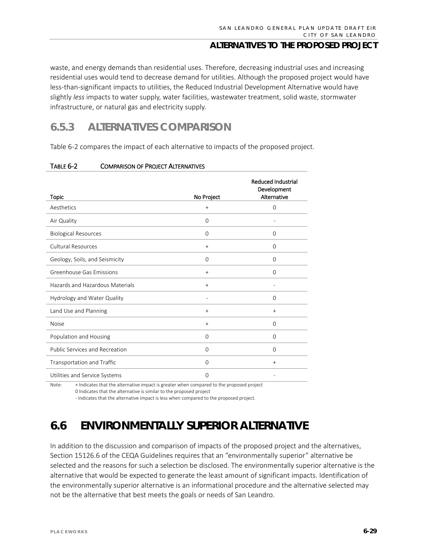waste, and energy demands than residential uses. Therefore, decreasing industrial uses and increasing residential uses would tend to decrease demand for utilities. Although the proposed project would have less-than-significant impacts to utilities, the Reduced Industrial Development Alternative would have slightly *less* impacts to water supply, water facilities, wastewater treatment, solid waste, stormwater infrastructure, or natural gas and electricity supply.

## **6.5.3 ALTERNATIVES COMPARISON**

Table 6-2 compares the impact of each alternative to impacts of the proposed project.

| <b>Topic</b>                    | No Project  | <b>Reduced Industrial</b><br>Development<br>Alternative |
|---------------------------------|-------------|---------------------------------------------------------|
| Aesthetics                      | $^{+}$      | $\mathbf 0$                                             |
| Air Quality                     | $\Omega$    |                                                         |
| <b>Biological Resources</b>     | $\Omega$    | $\Omega$                                                |
| Cultural Resources              | $+$         | $\mathbf 0$                                             |
| Geology, Soils, and Seismicity  | $\Omega$    | $\Omega$                                                |
| Greenhouse Gas Emissions        | $^{+}$      | $\Omega$                                                |
| Hazards and Hazardous Materials | $+$         |                                                         |
| Hydrology and Water Quality     |             | $\Omega$                                                |
| Land Use and Planning           | $^{+}$      | $\ddot{}$                                               |
| <b>Noise</b>                    | $+$         | $\Omega$                                                |
| Population and Housing          | $\Omega$    | $\Omega$                                                |
| Public Services and Recreation  | $\mathbf 0$ | $\mathbf 0$                                             |
| Transportation and Traffic      | $\Omega$    | $+$                                                     |
| Utilities and Service Systems   | $\Omega$    |                                                         |

#### TABLE 6-2 COMPARISON OF PROJECT ALTERNATIVES

Note: + Indicates that the alternative impact is greater when compared to the proposed project 0 Indicates that the alternative is similar to the proposed project

- Indicates that the alternative impact is less when compared to the proposed project.

# **6.6 ENVIRONMENTALLY SUPERIOR ALTERNATIVE**

In addition to the discussion and comparison of impacts of the proposed project and the alternatives, Section 15126.6 of the CEQA Guidelines requires that an "environmentally superior" alternative be selected and the reasons for such a selection be disclosed. The environmentally superior alternative is the alternative that would be expected to generate the least amount of significant impacts. Identification of the environmentally superior alternative is an informational procedure and the alternative selected may not be the alternative that best meets the goals or needs of San Leandro.